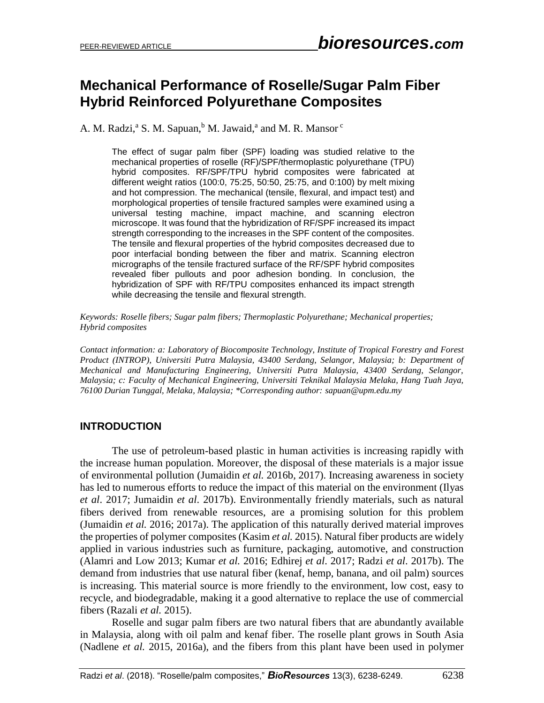# **Mechanical Performance of Roselle/Sugar Palm Fiber Hybrid Reinforced Polyurethane Composites**

A. M. Radzi,<sup>a</sup> S. M. Sapuan,<sup>b</sup> M. Jawaid,<sup>a</sup> and M. R. Mansor<sup>c</sup>

The effect of sugar palm fiber (SPF) loading was studied relative to the mechanical properties of roselle (RF)/SPF/thermoplastic polyurethane (TPU) hybrid composites. RF/SPF/TPU hybrid composites were fabricated at different weight ratios (100:0, 75:25, 50:50, 25:75, and 0:100) by melt mixing and hot compression. The mechanical (tensile, flexural, and impact test) and morphological properties of tensile fractured samples were examined using a universal testing machine, impact machine, and scanning electron microscope. It was found that the hybridization of RF/SPF increased its impact strength corresponding to the increases in the SPF content of the composites. The tensile and flexural properties of the hybrid composites decreased due to poor interfacial bonding between the fiber and matrix. Scanning electron micrographs of the tensile fractured surface of the RF/SPF hybrid composites revealed fiber pullouts and poor adhesion bonding. In conclusion, the hybridization of SPF with RF/TPU composites enhanced its impact strength while decreasing the tensile and flexural strength.

*Keywords: Roselle fibers; Sugar palm fibers; Thermoplastic Polyurethane; Mechanical properties; Hybrid composites*

*Contact information: a: Laboratory of Biocomposite Technology, Institute of Tropical Forestry and Forest Product (INTROP), Universiti Putra Malaysia, 43400 Serdang, Selangor, Malaysia; b: Department of Mechanical and Manufacturing Engineering, Universiti Putra Malaysia, 43400 Serdang, Selangor, Malaysia; c: Faculty of Mechanical Engineering, Universiti Teknikal Malaysia Melaka, Hang Tuah Jaya, 76100 Durian Tunggal, Melaka, Malaysia; \*Corresponding author: sapuan@upm.edu.my*

## **INTRODUCTION**

The use of petroleum-based plastic in human activities is increasing rapidly with the increase human population. Moreover, the disposal of these materials is a major issue of environmental pollution (Jumaidin *et al.* 2016b*,* 2017). Increasing awareness in society has led to numerous efforts to reduce the impact of this material on the environment (Ilyas *et al*. 2017; Jumaidin *et al*. 2017b). Environmentally friendly materials, such as natural fibers derived from renewable resources, are a promising solution for this problem (Jumaidin *et al.* 2016; 2017a). The application of this naturally derived material improves the properties of polymer composites (Kasim *et al.* 2015). Natural fiber products are widely applied in various industries such as furniture, packaging, automotive, and construction (Alamri and Low 2013; Kumar *et al.* 2016; Edhirej *et al*. 2017; Radzi *et al*. 2017b). The demand from industries that use natural fiber (kenaf, hemp, banana, and oil palm) sources is increasing. This material source is more friendly to the environment, low cost, easy to recycle, and biodegradable, making it a good alternative to replace the use of commercial fibers (Razali *et al.* 2015).

Roselle and sugar palm fibers are two natural fibers that are abundantly available in Malaysia, along with oil palm and kenaf fiber. The roselle plant grows in South Asia (Nadlene *et al.* 2015, 2016a), and the fibers from this plant have been used in polymer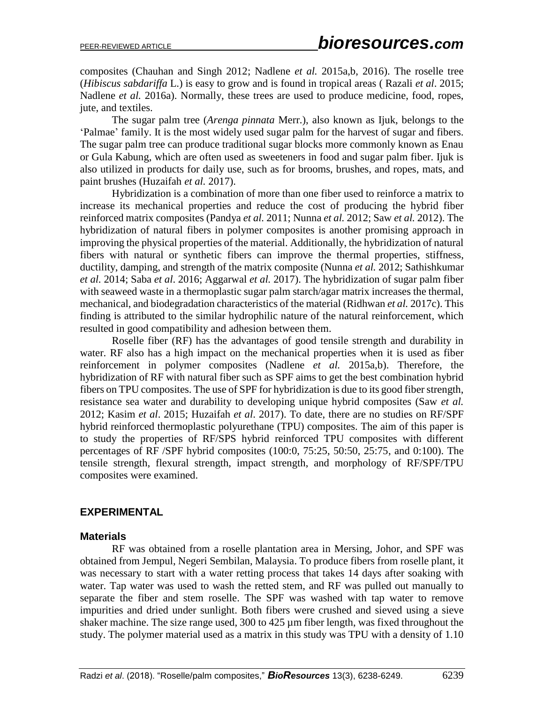composites (Chauhan and Singh 2012; Nadlene *et al.* 2015a,b, 2016). The roselle tree (*Hibiscus sabdariffa* L.) is easy to grow and is found in tropical areas ( Razali *et al*. 2015; Nadlene *et al.* 2016a). Normally, these trees are used to produce medicine, food, ropes, jute, and textiles.

The sugar palm tree (*Arenga pinnata* Merr.), also known as Ijuk, belongs to the 'Palmae' family. It is the most widely used sugar palm for the harvest of sugar and fibers. The sugar palm tree can produce traditional sugar blocks more commonly known as Enau or Gula Kabung, which are often used as sweeteners in food and sugar palm fiber. Ijuk is also utilized in products for daily use, such as for brooms, brushes, and ropes, mats, and paint brushes (Huzaifah *et al.* 2017).

Hybridization is a combination of more than one fiber used to reinforce a matrix to increase its mechanical properties and reduce the cost of producing the hybrid fiber reinforced matrix composites (Pandya *et al.* 2011; Nunna *et al.* 2012; Saw *et al.* 2012). The hybridization of natural fibers in polymer composites is another promising approach in improving the physical properties of the material. Additionally, the hybridization of natural fibers with natural or synthetic fibers can improve the thermal properties, stiffness, ductility, damping, and strength of the matrix composite (Nunna *et al.* 2012; Sathishkumar *et al.* 2014; Saba *et al*. 2016; Aggarwal *et al.* 2017). The hybridization of sugar palm fiber with seaweed waste in a thermoplastic sugar palm starch/agar matrix increases the thermal, mechanical, and biodegradation characteristics of the material (Ridhwan *et al.* 2017c). This finding is attributed to the similar hydrophilic nature of the natural reinforcement, which resulted in good compatibility and adhesion between them.

Roselle fiber (RF) has the advantages of good tensile strength and durability in water. RF also has a high impact on the mechanical properties when it is used as fiber reinforcement in polymer composites (Nadlene *et al.* 2015a,b). Therefore, the hybridization of RF with natural fiber such as SPF aims to get the best combination hybrid fibers on TPU composites. The use of SPF for hybridization is due to its good fiber strength, resistance sea water and durability to developing unique hybrid composites (Saw *et al.* 2012; Kasim *et al*. 2015; Huzaifah *et al*. 2017). To date, there are no studies on RF/SPF hybrid reinforced thermoplastic polyurethane (TPU) composites. The aim of this paper is to study the properties of RF/SPS hybrid reinforced TPU composites with different percentages of RF /SPF hybrid composites (100:0, 75:25, 50:50, 25:75, and 0:100). The tensile strength, flexural strength, impact strength, and morphology of RF/SPF/TPU composites were examined.

#### **EXPERIMENTAL**

#### **Materials**

RF was obtained from a roselle plantation area in Mersing, Johor, and SPF was obtained from Jempul, Negeri Sembilan, Malaysia. To produce fibers from roselle plant, it was necessary to start with a water retting process that takes 14 days after soaking with water. Tap water was used to wash the retted stem, and RF was pulled out manually to separate the fiber and stem roselle. The SPF was washed with tap water to remove impurities and dried under sunlight. Both fibers were crushed and sieved using a sieve shaker machine. The size range used, 300 to 425  $\mu$ m fiber length, was fixed throughout the study. The polymer material used as a matrix in this study was TPU with a density of 1.10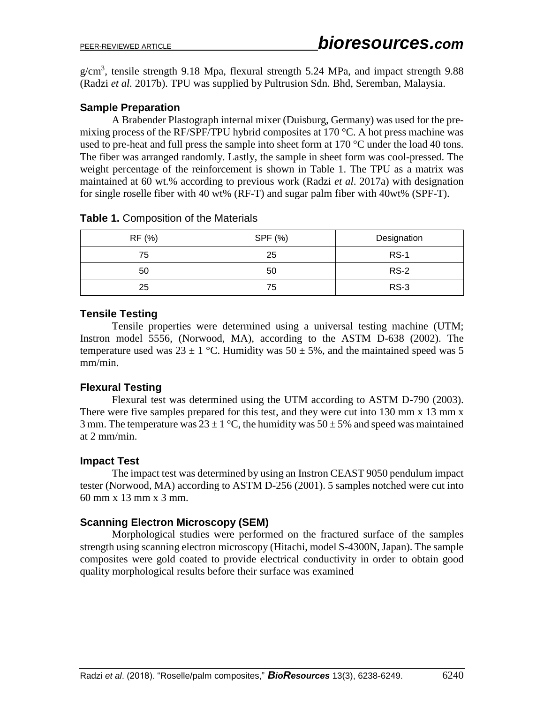$g/cm<sup>3</sup>$ , tensile strength 9.18 Mpa, flexural strength 5.24 MPa, and impact strength 9.88 (Radzi *et al.* 2017b). TPU was supplied by Pultrusion Sdn. Bhd, Seremban, Malaysia.

## **Sample Preparation**

A Brabender Plastograph internal mixer (Duisburg, Germany) was used for the premixing process of the RF/SPF/TPU hybrid composites at 170 °C. A hot press machine was used to pre-heat and full press the sample into sheet form at 170 °C under the load 40 tons. The fiber was arranged randomly. Lastly, the sample in sheet form was cool-pressed. The weight percentage of the reinforcement is shown in Table 1. The TPU as a matrix was maintained at 60 wt.% according to previous work (Radzi *et al*. 2017a) with designation for single roselle fiber with 40 wt% (RF-T) and sugar palm fiber with 40wt% (SPF-T).

| RF (%) | SPF (%) | Designation |
|--------|---------|-------------|
| 75     | 25      | <b>RS-1</b> |
| 50     | 50      | $RS-2$      |
| 25     | 75      | $RS-3$      |

#### **Table 1.** Composition of the Materials

#### **Tensile Testing**

Tensile properties were determined using a universal testing machine (UTM; Instron model 5556, (Norwood, MA), according to the ASTM D-638 (2002). The temperature used was  $23 \pm 1$  °C. Humidity was  $50 \pm 5$ %, and the maintained speed was 5 mm/min.

## **Flexural Testing**

Flexural test was determined using the UTM according to ASTM D-790 (2003). There were five samples prepared for this test, and they were cut into 130 mm x 13 mm x 3 mm. The temperature was  $23 \pm 1$  °C, the humidity was  $50 \pm 5$ % and speed was maintained at 2 mm/min.

#### **Impact Test**

The impact test was determined by using an Instron CEAST 9050 pendulum impact tester (Norwood, MA) according to ASTM D-256 (2001). 5 samples notched were cut into 60 mm x 13 mm x 3 mm.

## **Scanning Electron Microscopy (SEM)**

Morphological studies were performed on the fractured surface of the samples strength using scanning electron microscopy (Hitachi, model S-4300N, Japan). The sample composites were gold coated to provide electrical conductivity in order to obtain good quality morphological results before their surface was examined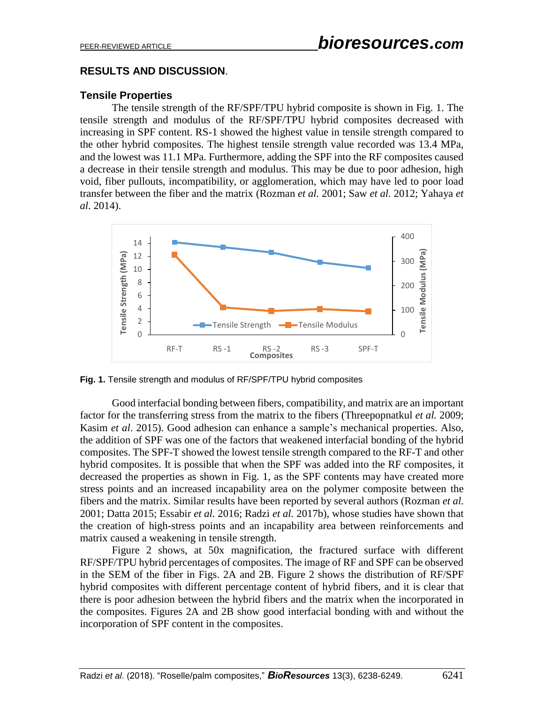### **RESULTS AND DISCUSSION**.

#### **Tensile Properties**

The tensile strength of the RF/SPF/TPU hybrid composite is shown in Fig. 1. The tensile strength and modulus of the RF/SPF/TPU hybrid composites decreased with increasing in SPF content. RS-1 showed the highest value in tensile strength compared to the other hybrid composites. The highest tensile strength value recorded was 13.4 MPa, and the lowest was 11.1 MPa. Furthermore, adding the SPF into the RF composites caused a decrease in their tensile strength and modulus. This may be due to poor adhesion, high void, fiber pullouts, incompatibility, or agglomeration, which may have led to poor load transfer between the fiber and the matrix (Rozman *et al.* 2001; Saw *et al.* 2012; Yahaya *et al*. 2014).



**Fig. 1.** Tensile strength and modulus of RF/SPF/TPU hybrid composites

Good interfacial bonding between fibers, compatibility, and matrix are an important factor for the transferring stress from the matrix to the fibers (Threepopnatkul *et al.* 2009; Kasim *et al*. 2015). Good adhesion can enhance a sample's mechanical properties. Also, the addition of SPF was one of the factors that weakened interfacial bonding of the hybrid composites. The SPF-T showed the lowest tensile strength compared to the RF-T and other hybrid composites. It is possible that when the SPF was added into the RF composites, it decreased the properties as shown in Fig. 1, as the SPF contents may have created more stress points and an increased incapability area on the polymer composite between the fibers and the matrix. Similar results have been reported by several authors (Rozman *et al.* 2001; Datta 2015; Essabir *et al.* 2016; Radzi *et al.* 2017b), whose studies have shown that the creation of high-stress points and an incapability area between reinforcements and matrix caused a weakening in tensile strength.

Figure 2 shows, at 50x magnification, the fractured surface with different RF/SPF/TPU hybrid percentages of composites. The image of RF and SPF can be observed in the SEM of the fiber in Figs. 2A and 2B. Figure 2 shows the distribution of RF/SPF hybrid composites with different percentage content of hybrid fibers, and it is clear that there is poor adhesion between the hybrid fibers and the matrix when the incorporated in the composites. Figures 2A and 2B show good interfacial bonding with and without the incorporation of SPF content in the composites.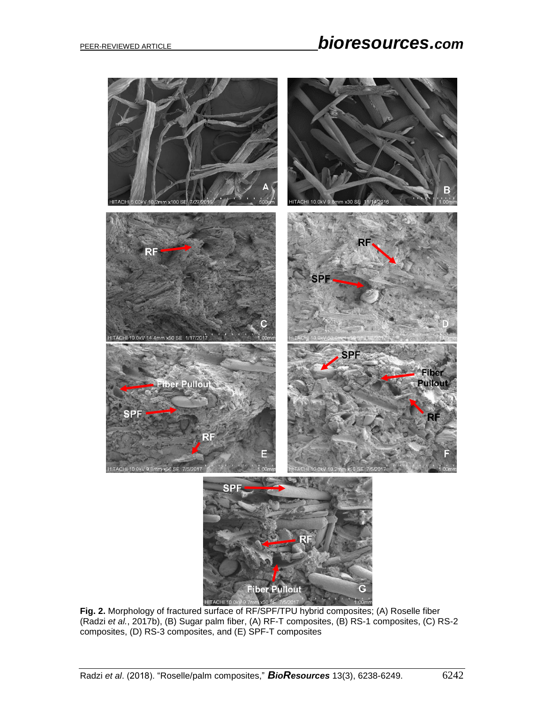

**Fig. 2.** Morphology of fractured surface of RF/SPF/TPU hybrid composites; (A) Roselle fiber (Radzi *et al.*, 2017b), (B) Sugar palm fiber, (A) RF-T composites, (B) RS-1 composites, (C) RS-2 composites, (D) RS-3 composites, and (E) SPF-T composites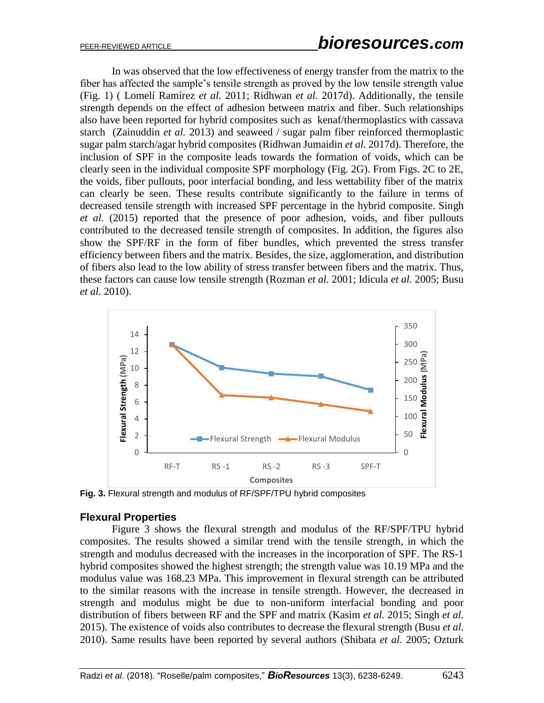In was observed that the low effectiveness of energy transfer from the matrix to the fiber has affected the sample's tensile strength as proved by the low tensile strength value (Fig. 1) ( Lomelí Ramírez *et al.* 2011; Ridhwan *et al.* 2017d). Additionally, the tensile strength depends on the effect of adhesion between matrix and fiber. Such relationships also have been reported for hybrid composites such as kenaf/thermoplastics with cassava starch (Zainuddin *et al.* 2013) and seaweed / sugar palm fiber reinforced thermoplastic sugar palm starch/agar hybrid composites (Ridhwan Jumaidin *et al*. 2017d). Therefore, the inclusion of SPF in the composite leads towards the formation of voids, which can be clearly seen in the individual composite SPF morphology (Fig. 2G). From Figs. 2C to 2E, the voids, fiber pullouts, poor interfacial bonding, and less wettability fiber of the matrix can clearly be seen. These results contribute significantly to the failure in terms of decreased tensile strength with increased SPF percentage in the hybrid composite. Singh *et al.* (2015) reported that the presence of poor adhesion, voids, and fiber pullouts contributed to the decreased tensile strength of composites. In addition, the figures also show the SPF/RF in the form of fiber bundles, which prevented the stress transfer efficiency between fibers and the matrix. Besides, the size, agglomeration, and distribution of fibers also lead to the low ability of stress transfer between fibers and the matrix. Thus, these factors can cause low tensile strength (Rozman *et al.* 2001; Idicula *et al.* 2005; Busu *et al.* 2010).



**Fig. 3.** Flexural strength and modulus of RF/SPF/TPU hybrid composites

#### **Flexural Properties**

Figure 3 shows the flexural strength and modulus of the RF/SPF/TPU hybrid composites. The results showed a similar trend with the tensile strength, in which the strength and modulus decreased with the increases in the incorporation of SPF. The RS-1 hybrid composites showed the highest strength; the strength value was 10.19 MPa and the modulus value was 168.23 MPa. This improvement in flexural strength can be attributed to the similar reasons with the increase in tensile strength. However, the decreased in strength and modulus might be due to non-uniform interfacial bonding and poor distribution of fibers between RF and the SPF and matrix (Kasim *et al.* 2015; Singh *et al.* 2015). The existence of voids also contributes to decrease the flexural strength (Busu *et al.* 2010). Same results have been reported by several authors (Shibata *et al*. 2005; Ozturk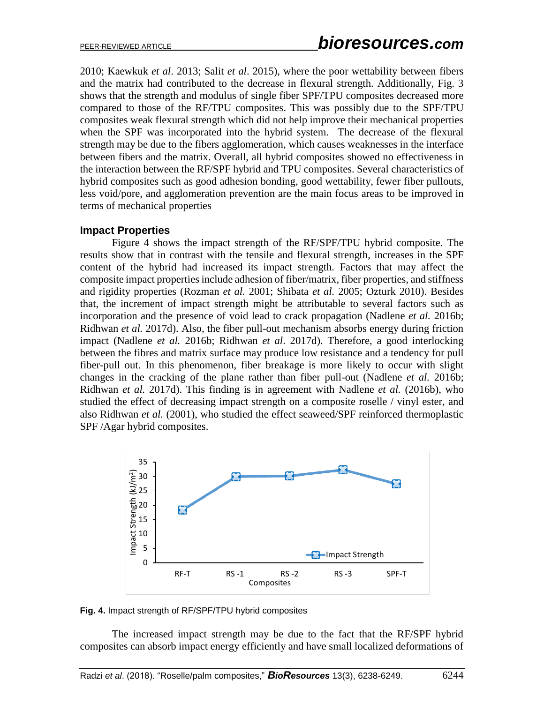2010; Kaewkuk *et al*. 2013; Salit *et al*. 2015), where the poor wettability between fibers and the matrix had contributed to the decrease in flexural strength. Additionally, Fig. 3 shows that the strength and modulus of single fiber SPF/TPU composites decreased more compared to those of the RF/TPU composites. This was possibly due to the SPF/TPU composites weak flexural strength which did not help improve their mechanical properties when the SPF was incorporated into the hybrid system. The decrease of the flexural strength may be due to the fibers agglomeration, which causes weaknesses in the interface between fibers and the matrix. Overall, all hybrid composites showed no effectiveness in the interaction between the RF/SPF hybrid and TPU composites. Several characteristics of hybrid composites such as good adhesion bonding, good wettability, fewer fiber pullouts, less void/pore, and agglomeration prevention are the main focus areas to be improved in terms of mechanical properties

#### **Impact Properties**

Figure 4 shows the impact strength of the RF/SPF/TPU hybrid composite. The results show that in contrast with the tensile and flexural strength, increases in the SPF content of the hybrid had increased its impact strength. Factors that may affect the composite impact properties include adhesion of fiber/matrix, fiber properties, and stiffness and rigidity properties (Rozman *et al.* 2001; Shibata *et al.* 2005; Ozturk 2010). Besides that, the increment of impact strength might be attributable to several factors such as incorporation and the presence of void lead to crack propagation (Nadlene *et al.* 2016b; Ridhwan *et al.* 2017d). Also, the fiber pull-out mechanism absorbs energy during friction impact (Nadlene *et al.* 2016b; Ridhwan *et al*. 2017d). Therefore, a good interlocking between the fibres and matrix surface may produce low resistance and a tendency for pull fiber-pull out. In this phenomenon, fiber breakage is more likely to occur with slight changes in the cracking of the plane rather than fiber pull-out (Nadlene *et al.* 2016b; Ridhwan *et al.* 2017d). This finding is in agreement with Nadlene *et al.* (2016b), who studied the effect of decreasing impact strength on a composite roselle / vinyl ester, and also Ridhwan *et al.* (2001), who studied the effect seaweed/SPF reinforced thermoplastic SPF /Agar hybrid composites.



**Fig. 4.** Impact strength of RF/SPF/TPU hybrid composites

The increased impact strength may be due to the fact that the RF/SPF hybrid composites can absorb impact energy efficiently and have small localized deformations of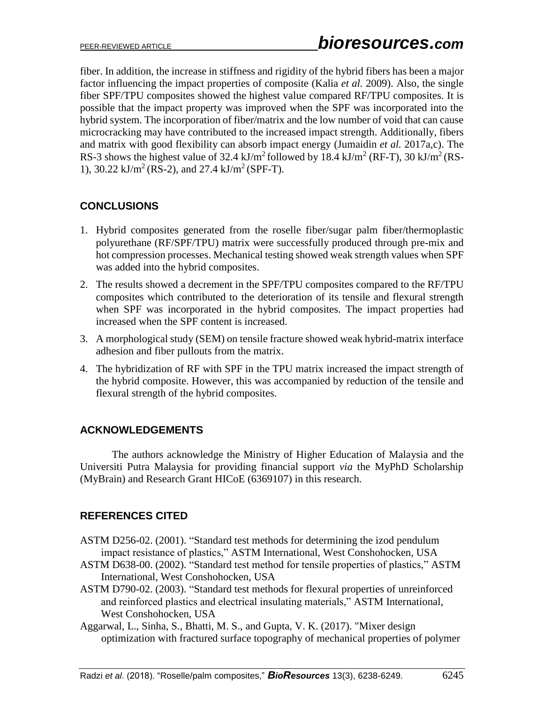fiber. In addition, the increase in stiffness and rigidity of the hybrid fibers has been a major factor influencing the impact properties of composite (Kalia *et al.* 2009). Also, the single fiber SPF/TPU composites showed the highest value compared RF/TPU composites. It is possible that the impact property was improved when the SPF was incorporated into the hybrid system. The incorporation of fiber/matrix and the low number of void that can cause microcracking may have contributed to the increased impact strength. Additionally, fibers and matrix with good flexibility can absorb impact energy (Jumaidin *et al.* 2017a,c). The RS-3 shows the highest value of 32.4 kJ/m<sup>2</sup> followed by 18.4 kJ/m<sup>2</sup> (RF-T), 30 kJ/m<sup>2</sup> (RS-1), 30.22 kJ/m<sup>2</sup> (RS-2), and 27.4 kJ/m<sup>2</sup> (SPF-T).

# **CONCLUSIONS**

- 1. Hybrid composites generated from the roselle fiber/sugar palm fiber/thermoplastic polyurethane (RF/SPF/TPU) matrix were successfully produced through pre-mix and hot compression processes. Mechanical testing showed weak strength values when SPF was added into the hybrid composites.
- 2. The results showed a decrement in the SPF/TPU composites compared to the RF/TPU composites which contributed to the deterioration of its tensile and flexural strength when SPF was incorporated in the hybrid composites. The impact properties had increased when the SPF content is increased.
- 3. A morphological study (SEM) on tensile fracture showed weak hybrid-matrix interface adhesion and fiber pullouts from the matrix.
- 4. The hybridization of RF with SPF in the TPU matrix increased the impact strength of the hybrid composite. However, this was accompanied by reduction of the tensile and flexural strength of the hybrid composites.

## **ACKNOWLEDGEMENTS**

The authors acknowledge the Ministry of Higher Education of Malaysia and the Universiti Putra Malaysia for providing financial support *via* the MyPhD Scholarship (MyBrain) and Research Grant HICoE (6369107) in this research.

# **REFERENCES CITED**

- ASTM D256-02. (2001). "Standard test methods for determining the izod pendulum impact resistance of plastics," ASTM International, West Conshohocken, USA
- ASTM D638-00. (2002). "Standard test method for tensile properties of plastics," ASTM International, West Conshohocken, USA
- ASTM D790-02. (2003). "Standard test methods for flexural properties of unreinforced and reinforced plastics and electrical insulating materials," ASTM International, West Conshohocken, USA
- Aggarwal, L., Sinha, S., Bhatti, M. S., and Gupta, V. K. (2017). "Mixer design optimization with fractured surface topography of mechanical properties of polymer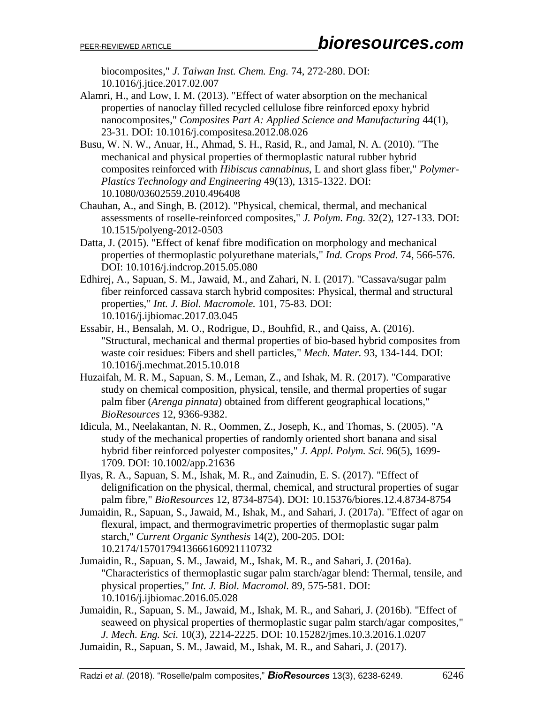biocomposites," *J. Taiwan Inst. Chem. Eng.* 74, 272-280. DOI: 10.1016/j.jtice.2017.02.007

- Alamri, H., and Low, I. M. (2013). "Effect of water absorption on the mechanical properties of nanoclay filled recycled cellulose fibre reinforced epoxy hybrid nanocomposites," *Composites Part A: Applied Science and Manufacturing* 44(1), 23-31. DOI: 10.1016/j.compositesa.2012.08.026
- Busu, W. N. W., Anuar, H., Ahmad, S. H., Rasid, R., and Jamal, N. A. (2010). "The mechanical and physical properties of thermoplastic natural rubber hybrid composites reinforced with *Hibiscus cannabinus*, L and short glass fiber," *Polymer-Plastics Technology and Engineering* 49(13), 1315-1322. DOI: 10.1080/03602559.2010.496408
- Chauhan, A., and Singh, B. (2012). "Physical, chemical, thermal, and mechanical assessments of roselle-reinforced composites," *J. Polym. Eng.* 32(2), 127-133. DOI: 10.1515/polyeng-2012-0503
- Datta, J. (2015). "Effect of kenaf fibre modification on morphology and mechanical properties of thermoplastic polyurethane materials," *Ind. Crops Prod.* 74, 566-576. DOI: 10.1016/j.indcrop.2015.05.080
- Edhirej, A., Sapuan, S. M., Jawaid, M., and Zahari, N. I. (2017). "Cassava/sugar palm fiber reinforced cassava starch hybrid composites: Physical, thermal and structural properties," *Int. J. Biol. Macromole.* 101, 75-83. DOI: 10.1016/j.ijbiomac.2017.03.045
- Essabir, H., Bensalah, M. O., Rodrigue, D., Bouhfid, R., and Qaiss, A. (2016). "Structural, mechanical and thermal properties of bio-based hybrid composites from waste coir residues: Fibers and shell particles," *Mech. Mater.* 93, 134-144. DOI: 10.1016/j.mechmat.2015.10.018
- Huzaifah, M. R. M., Sapuan, S. M., Leman, Z., and Ishak, M. R. (2017). "Comparative study on chemical composition, physical, tensile, and thermal properties of sugar palm fiber (*Arenga pinnata*) obtained from different geographical locations," *BioResources* 12, 9366-9382.
- Idicula, M., Neelakantan, N. R., Oommen, Z., Joseph, K., and Thomas, S. (2005). "A study of the mechanical properties of randomly oriented short banana and sisal hybrid fiber reinforced polyester composites," *J. Appl. Polym. Sci.* 96(5), 1699- 1709. DOI: 10.1002/app.21636
- Ilyas, R. A., Sapuan, S. M., Ishak, M. R., and Zainudin, E. S. (2017). "Effect of delignification on the physical, thermal, chemical, and structural properties of sugar palm fibre," *BioResources* 12, 8734-8754). DOI: 10.15376/biores.12.4.8734-8754
- Jumaidin, R., Sapuan, S., Jawaid, M., Ishak, M., and Sahari, J. (2017a). "Effect of agar on flexural, impact, and thermogravimetric properties of thermoplastic sugar palm starch," *Current Organic Synthesis* 14(2), 200-205. DOI: 10.2174/1570179413666160921110732
- Jumaidin, R., Sapuan, S. M., Jawaid, M., Ishak, M. R., and Sahari, J. (2016a). "Characteristics of thermoplastic sugar palm starch/agar blend: Thermal, tensile, and physical properties," *Int. J. Biol. Macromol.* 89, 575-581. DOI: 10.1016/j.ijbiomac.2016.05.028
- Jumaidin, R., Sapuan, S. M., Jawaid, M., Ishak, M. R., and Sahari, J. (2016b). "Effect of seaweed on physical properties of thermoplastic sugar palm starch/agar composites," *J. Mech. Eng. Sci.* 10(3), 2214-2225. DOI: 10.15282/jmes.10.3.2016.1.0207
- Jumaidin, R., Sapuan, S. M., Jawaid, M., Ishak, M. R., and Sahari, J. (2017).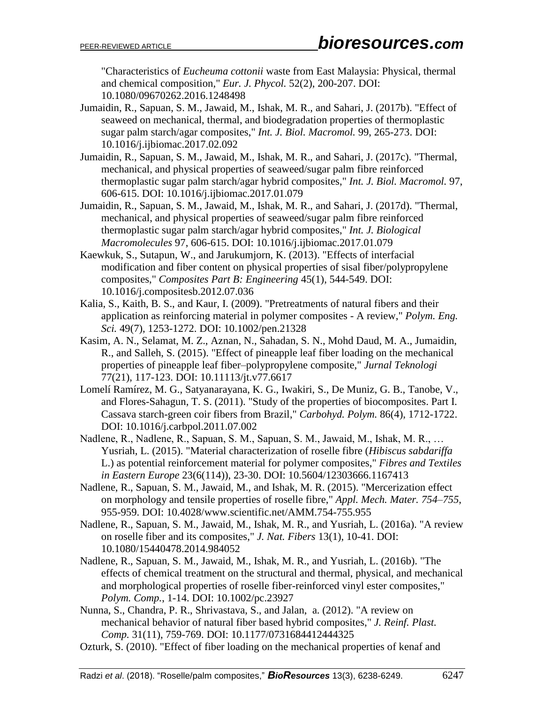"Characteristics of *Eucheuma cottonii* waste from East Malaysia: Physical, thermal and chemical composition," *Eur. J. Phycol.* 52(2), 200-207. DOI: 10.1080/09670262.2016.1248498

- Jumaidin, R., Sapuan, S. M., Jawaid, M., Ishak, M. R., and Sahari, J. (2017b). "Effect of seaweed on mechanical, thermal, and biodegradation properties of thermoplastic sugar palm starch/agar composites," *Int. J. Biol. Macromol.* 99, 265-273. DOI: 10.1016/j.ijbiomac.2017.02.092
- Jumaidin, R., Sapuan, S. M., Jawaid, M., Ishak, M. R., and Sahari, J. (2017c). "Thermal, mechanical, and physical properties of seaweed/sugar palm fibre reinforced thermoplastic sugar palm starch/agar hybrid composites," *Int. J. Biol. Macromol.* 97, 606-615. DOI: 10.1016/j.ijbiomac.2017.01.079
- Jumaidin, R., Sapuan, S. M., Jawaid, M., Ishak, M. R., and Sahari, J. (2017d). "Thermal, mechanical, and physical properties of seaweed/sugar palm fibre reinforced thermoplastic sugar palm starch/agar hybrid composites," *Int. J. Biological Macromolecules* 97, 606-615. DOI: 10.1016/j.ijbiomac.2017.01.079
- Kaewkuk, S., Sutapun, W., and Jarukumjorn, K. (2013). "Effects of interfacial modification and fiber content on physical properties of sisal fiber/polypropylene composites," *Composites Part B: Engineering* 45(1), 544-549. DOI: 10.1016/j.compositesb.2012.07.036
- Kalia, S., Kaith, B. S., and Kaur, I. (2009). "Pretreatments of natural fibers and their application as reinforcing material in polymer composites - A review," *Polym. Eng. Sci.* 49(7), 1253-1272. DOI: 10.1002/pen.21328
- Kasim, A. N., Selamat, M. Z., Aznan, N., Sahadan, S. N., Mohd Daud, M. A., Jumaidin, R., and Salleh, S. (2015). "Effect of pineapple leaf fiber loading on the mechanical properties of pineapple leaf fiber–polypropylene composite," *Jurnal Teknologi* 77(21), 117-123. DOI: 10.11113/jt.v77.6617
- Lomelí Ramírez, M. G., Satyanarayana, K. G., Iwakiri, S., De Muniz, G. B., Tanobe, V., and Flores-Sahagun, T. S. (2011). "Study of the properties of biocomposites. Part I. Cassava starch-green coir fibers from Brazil," *Carbohyd. Polym.* 86(4), 1712-1722. DOI: 10.1016/j.carbpol.2011.07.002
- Nadlene, R., Nadlene, R., Sapuan, S. M., Sapuan, S. M., Jawaid, M., Ishak, M. R., … Yusriah, L. (2015). "Material characterization of roselle fibre (*Hibiscus sabdariffa* L.) as potential reinforcement material for polymer composites," *Fibres and Textiles in Eastern Europe* 23(6(114)), 23-30. DOI: 10.5604/12303666.1167413
- Nadlene, R., Sapuan, S. M., Jawaid, M., and Ishak, M. R. (2015). "Mercerization effect on morphology and tensile properties of roselle fibre," *Appl. Mech. Mater. 754*–*755*, 955-959. DOI: 10.4028/www.scientific.net/AMM.754-755.955
- Nadlene, R., Sapuan, S. M., Jawaid, M., Ishak, M. R., and Yusriah, L. (2016a). "A review on roselle fiber and its composites," *J. Nat. Fibers* 13(1), 10-41. DOI: 10.1080/15440478.2014.984052
- Nadlene, R., Sapuan, S. M., Jawaid, M., Ishak, M. R., and Yusriah, L. (2016b). "The effects of chemical treatment on the structural and thermal, physical, and mechanical and morphological properties of roselle fiber-reinforced vinyl ester composites," *Polym. Comp.*, 1-14. DOI: 10.1002/pc.23927
- Nunna, S., Chandra, P. R., Shrivastava, S., and Jalan, a. (2012). "A review on mechanical behavior of natural fiber based hybrid composites," *J. Reinf. Plast. Comp.* 31(11), 759-769. DOI: 10.1177/0731684412444325
- Ozturk, S. (2010). "Effect of fiber loading on the mechanical properties of kenaf and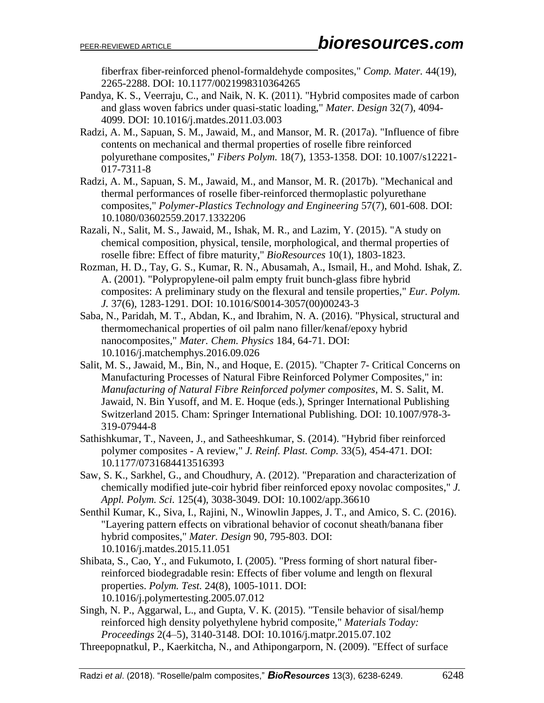fiberfrax fiber-reinforced phenol-formaldehyde composites," *Comp. Mater.* 44(19), 2265-2288. DOI: 10.1177/0021998310364265

- Pandya, K. S., Veerraju, C., and Naik, N. K. (2011). "Hybrid composites made of carbon and glass woven fabrics under quasi-static loading," *Mater. Design* 32(7), 4094- 4099. DOI: 10.1016/j.matdes.2011.03.003
- Radzi, A. M., Sapuan, S. M., Jawaid, M., and Mansor, M. R. (2017a). "Influence of fibre contents on mechanical and thermal properties of roselle fibre reinforced polyurethane composites," *Fibers Polym.* 18(7), 1353-1358. DOI: 10.1007/s12221- 017-7311-8
- Radzi, A. M., Sapuan, S. M., Jawaid, M., and Mansor, M. R. (2017b). "Mechanical and thermal performances of roselle fiber-reinforced thermoplastic polyurethane composites," *Polymer-Plastics Technology and Engineering* 57(7), 601-608. DOI: 10.1080/03602559.2017.1332206
- Razali, N., Salit, M. S., Jawaid, M., Ishak, M. R., and Lazim, Y. (2015). "A study on chemical composition, physical, tensile, morphological, and thermal properties of roselle fibre: Effect of fibre maturity," *BioResources* 10(1), 1803-1823.
- Rozman, H. D., Tay, G. S., Kumar, R. N., Abusamah, A., Ismail, H., and Mohd. Ishak, Z. A. (2001). "Polypropylene-oil palm empty fruit bunch-glass fibre hybrid composites: A preliminary study on the flexural and tensile properties," *Eur. Polym. J.* 37(6), 1283-1291. DOI: 10.1016/S0014-3057(00)00243-3
- Saba, N., Paridah, M. T., Abdan, K., and Ibrahim, N. A. (2016). "Physical, structural and thermomechanical properties of oil palm nano filler/kenaf/epoxy hybrid nanocomposites," *Mater. Chem. Physics* 184, 64-71. DOI: 10.1016/j.matchemphys.2016.09.026
- Salit, M. S., Jawaid, M., Bin, N., and Hoque, E. (2015). "Chapter 7- Critical Concerns on Manufacturing Processes of Natural Fibre Reinforced Polymer Composites," in: *Manufacturing of Natural Fibre Reinforced polymer composites*, M. S. Salit, M. Jawaid, N. Bin Yusoff, and M. E. Hoque (eds.), Springer International Publishing Switzerland 2015. Cham: Springer International Publishing. DOI: 10.1007/978-3- 319-07944-8
- Sathishkumar, T., Naveen, J., and Satheeshkumar, S. (2014). "Hybrid fiber reinforced polymer composites - A review," *J. Reinf. Plast. Comp.* 33(5), 454-471. DOI: 10.1177/0731684413516393
- Saw, S. K., Sarkhel, G., and Choudhury, A. (2012). "Preparation and characterization of chemically modified jute-coir hybrid fiber reinforced epoxy novolac composites," *J. Appl. Polym. Sci.* 125(4), 3038-3049. DOI: 10.1002/app.36610
- Senthil Kumar, K., Siva, I., Rajini, N., Winowlin Jappes, J. T., and Amico, S. C. (2016). "Layering pattern effects on vibrational behavior of coconut sheath/banana fiber hybrid composites," *Mater. Design* 90, 795-803. DOI: 10.1016/j.matdes.2015.11.051
- Shibata, S., Cao, Y., and Fukumoto, I. (2005). "Press forming of short natural fiberreinforced biodegradable resin: Effects of fiber volume and length on flexural properties. *Polym. Test.* 24(8), 1005-1011. DOI: 10.1016/j.polymertesting.2005.07.012
- Singh, N. P., Aggarwal, L., and Gupta, V. K. (2015). "Tensile behavior of sisal/hemp reinforced high density polyethylene hybrid composite," *Materials Today: Proceedings* 2(4–5), 3140-3148. DOI: 10.1016/j.matpr.2015.07.102
- Threepopnatkul, P., Kaerkitcha, N., and Athipongarporn, N. (2009). "Effect of surface